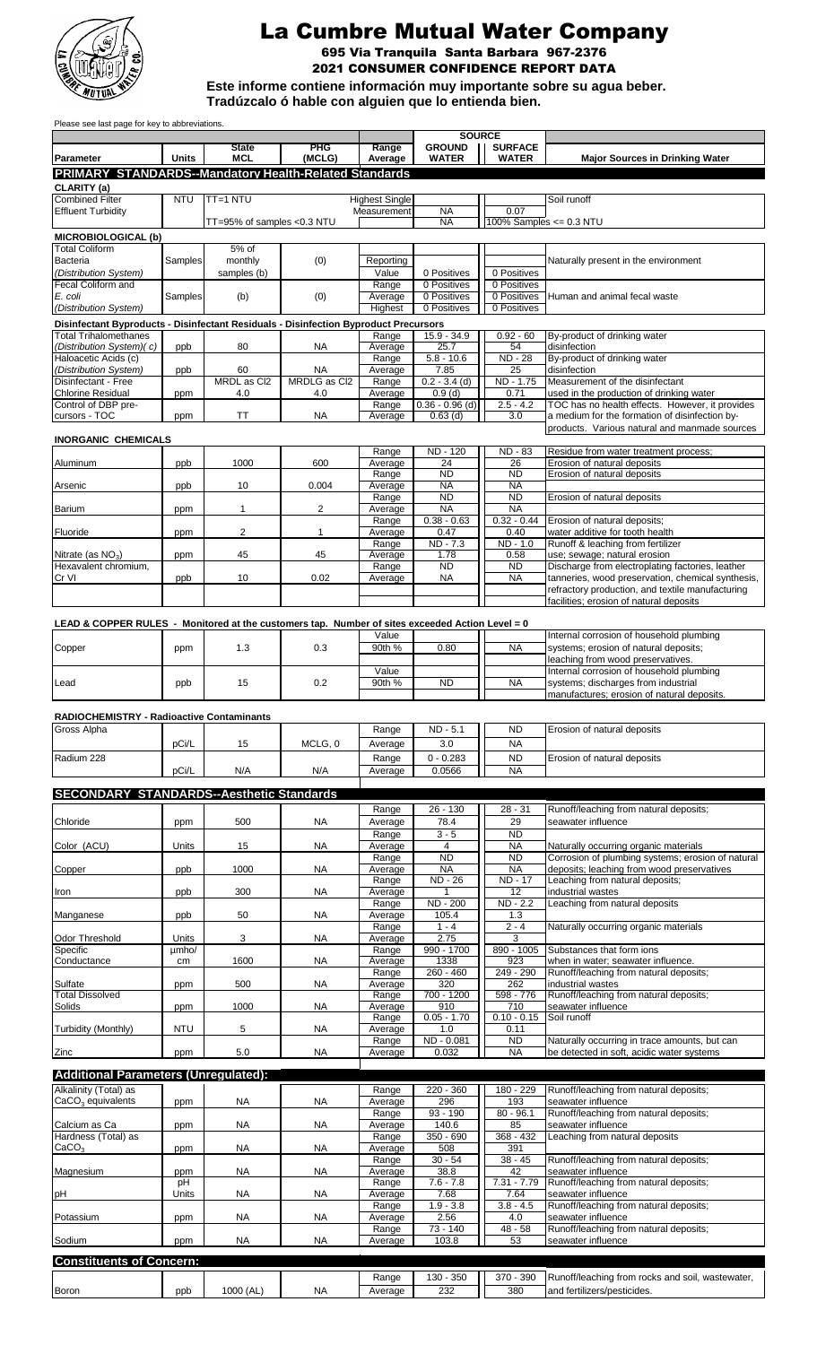

# La Cumbre Mutual Water Company

2021 CONSUMER CONFIDENCE REPORT DATA 695 Via Tranquila Santa Barbara 967-2376

**Este informe contiene información muy importante sobre su agua beber.** 

**Tradúzcalo ó hable con alguien que lo entienda bien.**

Please see last page for key to abbreviations.

|                                                                                                                      |                | <b>State</b>               | <b>PHG</b>         | Range                                | <b>SOURCE</b><br><b>GROUND</b> | <b>SURFACE</b>             |                                                                                                 |
|----------------------------------------------------------------------------------------------------------------------|----------------|----------------------------|--------------------|--------------------------------------|--------------------------------|----------------------------|-------------------------------------------------------------------------------------------------|
| Parameter                                                                                                            | <b>Units</b>   | <b>MCL</b>                 | (MCLG)             | Average                              | <b>WATER</b>                   | <b>WATER</b>               | <b>Major Sources in Drinking Water</b>                                                          |
| <b>PRIMARY STANDARDS--Mandatory Health-Related Standards</b>                                                         |                |                            |                    |                                      |                                |                            |                                                                                                 |
| CLARITY (a)                                                                                                          |                |                            |                    |                                      |                                |                            |                                                                                                 |
| <b>Combined Filter</b><br><b>Effluent Turbidity</b>                                                                  | <b>NTU</b>     | TT=1 NTU                   |                    | <b>Highest Single</b><br>Measurement | <b>NA</b>                      | 0.07                       | Soil runoff                                                                                     |
|                                                                                                                      |                | TT=95% of samples <0.3 NTU |                    |                                      | <b>NA</b>                      | 100% Samples $<= 0.3$ NTU  |                                                                                                 |
| <b>MICROBIOLOGICAL (b)</b>                                                                                           |                |                            |                    |                                      |                                |                            |                                                                                                 |
| <b>Total Coliform</b>                                                                                                |                | 5% of                      |                    |                                      |                                |                            |                                                                                                 |
| Bacteria<br>(Distribution System)                                                                                    | Samples        | monthly<br>samples (b)     | (0)                | Reporting<br>Value                   | 0 Positives                    | 0 Positives                | Naturally present in the environment                                                            |
| Fecal Coliform and                                                                                                   |                |                            |                    | Range                                | 0 Positives                    | 0 Positives                |                                                                                                 |
| E. coli                                                                                                              | Samples        | (b)                        | (0)                | Average                              | 0 Positives                    | 0 Positives                | Human and animal fecal waste                                                                    |
| (Distribution System)                                                                                                |                |                            |                    | Highest                              | 0 Positives                    | 0 Positives                |                                                                                                 |
| Disinfectant Byproducts - Disinfectant Residuals - Disinfection Byproduct Precursors<br><b>Total Trihalomethanes</b> |                |                            |                    |                                      | $15.9 - 34.9$                  |                            |                                                                                                 |
| (Distribution System)(c)                                                                                             | ppb            | 80                         | <b>NA</b>          | Range<br>Average                     | 25.7                           | $0.92 - 60$<br>54          | By-product of drinking water<br>disinfection                                                    |
| Haloacetic Acids (c)                                                                                                 |                |                            |                    | Range                                | $5.8 - 10.6$                   | ND - 28                    | By-product of drinking water                                                                    |
| (Distribution System)<br>Disinfectant - Free                                                                         | ppb            | 60<br>MRDL as Cl2          | NA<br>MRDLG as Cl2 | Average<br>Range                     | 7.85<br>$0.2 - 3.4$ (d)        | 25<br>ND - 1.75            | disinfection<br>Measurement of the disinfectant                                                 |
| <b>Chlorine Residual</b>                                                                                             | ppm            | 4.0                        | 4.0                | Average                              | 0.9(d)                         | 0.71                       | used in the production of drinking water                                                        |
| Control of DBP pre-                                                                                                  |                |                            |                    | Range                                | $0.36 - 0.96$ (d)              | $2.5 - 4.2$                | TOC has no health effects. However, it provides                                                 |
| cursors - TOC                                                                                                        | ppm            | ΤT                         | NA                 | Average                              | $0.63$ (d)                     | 3.0                        | a medium for the formation of disinfection by-<br>products. Various natural and manmade sources |
| <b>INORGANIC CHEMICALS</b>                                                                                           |                |                            |                    |                                      |                                |                            |                                                                                                 |
|                                                                                                                      |                |                            |                    | Range                                | <b>ND - 120</b>                | <b>ND - 83</b>             | Residue from water treatment process;                                                           |
| Aluminum                                                                                                             | ppb            | 1000                       | 600                | Average                              | 24<br><b>ND</b>                | 26<br><b>ND</b>            | Erosion of natural deposits<br>Erosion of natural deposits                                      |
| Arsenic                                                                                                              | ppb            | 10                         | 0.004              | Range<br>Average                     | <b>NA</b>                      | <b>NA</b>                  |                                                                                                 |
|                                                                                                                      |                |                            |                    | Range                                | <b>ND</b>                      | ND                         | Erosion of natural deposits                                                                     |
| <b>Barium</b>                                                                                                        | ppm            | $\mathbf{1}$               | 2                  | Average                              | <b>NA</b><br>$0.38 - 0.63$     | <b>NA</b><br>$0.32 - 0.44$ |                                                                                                 |
| Fluoride                                                                                                             | ppm            | 2                          | 1                  | Range<br>Average                     | 0.47                           | 0.40                       | Erosion of natural deposits;<br>water additive for tooth health                                 |
|                                                                                                                      |                |                            |                    | Range                                | ND - 7.3                       | $ND - 1.0$                 | Runoff & leaching from fertilizer                                                               |
| Nitrate (as $NO_3$ )<br>Hexavalent chromium,                                                                         | ppm            | 45                         | 45                 | Average<br>Range                     | 1.78<br><b>ND</b>              | 0.58<br><b>ND</b>          | use; sewage; natural erosion<br>Discharge from electroplating factories, leather                |
| Cr VI                                                                                                                | ppb            | 10                         | 0.02               | Average                              | <b>NA</b>                      | <b>NA</b>                  | tanneries, wood preservation, chemical synthesis,                                               |
|                                                                                                                      |                |                            |                    |                                      |                                |                            | refractory production, and textile manufacturing                                                |
|                                                                                                                      |                |                            |                    |                                      |                                |                            | facilities; erosion of natural deposits                                                         |
| LEAD & COPPER RULES - Monitored at the customers tap. Number of sites exceeded Action Level = 0                      |                |                            |                    |                                      |                                |                            |                                                                                                 |
|                                                                                                                      |                |                            |                    | Value                                |                                |                            | Internal corrosion of household plumbing                                                        |
| Copper                                                                                                               | ppm            | 1.3                        | 0.3                | 90th %                               | 0.80                           | <b>NA</b>                  | systems; erosion of natural deposits;                                                           |
|                                                                                                                      |                |                            |                    | Value                                |                                |                            | leaching from wood preservatives.<br>Internal corrosion of household plumbing                   |
| Lead                                                                                                                 | ppb            | 15                         | 0.2                | 90th %                               | <b>ND</b>                      | <b>NA</b>                  | systems; discharges from industrial                                                             |
|                                                                                                                      |                |                            |                    |                                      |                                |                            | manufactures; erosion of natural deposits.                                                      |
| RADIOCHEMISTRY - Radioactive Contaminants                                                                            |                |                            |                    |                                      |                                |                            |                                                                                                 |
| Gross Alpha                                                                                                          |                |                            |                    | Range                                | ND - 5.1                       | <b>ND</b>                  | Erosion of natural deposits                                                                     |
|                                                                                                                      | pCi/L          | 15                         | MCLG, 0            | Average                              | 3.0                            | <b>NA</b>                  |                                                                                                 |
| Radium 228                                                                                                           |                |                            |                    | Range                                | $0 - 0.283$                    | <b>ND</b>                  | Erosion of natural deposits                                                                     |
|                                                                                                                      | pCi/L          | N/A                        | N/A                | Average                              | 0.0566                         | <b>NA</b>                  |                                                                                                 |
| <b>SECONDARY STANDARDS--Aesthetic Standards</b>                                                                      |                |                            |                    |                                      |                                |                            |                                                                                                 |
|                                                                                                                      |                |                            |                    | Range                                | 26 - 130                       | $28 - 31$                  | Runoff/leaching from natural deposits;                                                          |
| Chloride                                                                                                             | ppm            | 500                        | <b>NA</b>          | Average                              | 78.4                           | 29                         | seawater influence                                                                              |
|                                                                                                                      |                |                            |                    | Range                                | $3 - 5$                        | <b>ND</b>                  |                                                                                                 |
| Color (ACU)                                                                                                          | Units          | 15                         | <b>NA</b>          | Average<br>Range                     | 4<br><b>ND</b>                 | <b>NA</b><br><b>ND</b>     | Naturally occurring organic materials<br>Corrosion of plumbing systems; erosion of natural      |
| Copper                                                                                                               | ppb            | 1000                       | NA                 | Average                              | <b>NA</b>                      | <b>NA</b>                  | deposits; leaching from wood preservatives                                                      |
|                                                                                                                      |                |                            |                    | Range                                | <b>ND - 26</b>                 | <b>ND - 17</b>             | Leaching from natural deposits;                                                                 |
| Iron                                                                                                                 | ppb            | 300                        | <b>NA</b>          | Average<br>Range                     | 1<br>ND - 200                  | 12<br>ND - 2.2             | industrial wastes<br>Leaching from natural deposits                                             |
| Manganese                                                                                                            | ppb            | 50                         | <b>NA</b>          | Average                              | 105.4                          | 1.3                        |                                                                                                 |
|                                                                                                                      |                |                            |                    | Range                                | $1 - 4$                        | $2 - 4$                    | Naturally occurring organic materials                                                           |
| Odor Threshold<br>Specific                                                                                           | Units<br>umho/ | 3                          | <b>NA</b>          | Average<br>Range                     | 2.75<br>990 - 1700             | 3<br>890 - 1005            | Substances that form ions                                                                       |
| Conductance                                                                                                          | cm             | 1600                       | <b>NA</b>          | Average                              | 1338                           | 923                        | when in water; seawater influence.                                                              |
|                                                                                                                      |                |                            |                    | Range                                | $260 - 460$                    | 249 - 290                  | Runoff/leaching from natural deposits;                                                          |
| Sulfate<br><b>Total Dissolved</b>                                                                                    | ppm            | 500                        | NA                 | Average<br>Range                     | 320<br>$700 - 1200$            | 262<br>598 - 776           | industrial wastes<br>Runoff/leaching from natural deposits;                                     |
| Solids                                                                                                               | ppm            | 1000                       | <b>NA</b>          | Average                              | 910                            | 710                        | seawater influence                                                                              |
|                                                                                                                      |                |                            |                    | Range                                | $0.05 - 1.70$                  | $0.10 - 0.15$              | Soil runoff                                                                                     |
| Turbidity (Monthly)                                                                                                  | <b>NTU</b>     | 5                          | <b>NA</b>          | Average<br>Range                     | 1.0<br>ND - 0.081              | 0.11<br>ND                 | Naturally occurring in trace amounts, but can                                                   |
| Zinc                                                                                                                 | ppm            | 5.0                        | <b>NA</b>          | Average                              | 0.032                          | <b>NA</b>                  | be detected in soft, acidic water systems                                                       |
|                                                                                                                      |                |                            |                    |                                      |                                |                            |                                                                                                 |
| <b>Additional Parameters (Unregulated):</b>                                                                          |                |                            |                    |                                      |                                |                            |                                                                                                 |
| Alkalinity (Total) as<br>$CaCO3$ equivalents                                                                         | ppm            | NA                         | <b>NA</b>          | Range<br>Average                     | 220 - 360<br>296               | 180 - 229<br>193           | Runoff/leaching from natural deposits;<br>seawater influence                                    |
|                                                                                                                      |                |                            |                    | Range                                | $93 - 190$                     | $80 - 96.1$                | Runoff/leaching from natural deposits;                                                          |
| Calcium as Ca                                                                                                        | ppm            | NA                         | <b>NA</b>          | Average                              | 140.6                          | 85                         | seawater influence                                                                              |
| Hardness (Total) as<br>CaCO <sub>3</sub>                                                                             | ppm            | NA                         | <b>NA</b>          | Range<br>Average                     | $350 - 690$<br>508             | $368 - 432$<br>391         | Leaching from natural deposits                                                                  |
|                                                                                                                      |                |                            |                    | Range                                | $30 - 54$                      | $38 - 45$                  | Runoff/leaching from natural deposits;                                                          |
| Magnesium                                                                                                            | ppm            | NA.                        | <b>NA</b>          | Average                              | 38.8                           | 42                         | seawater influence                                                                              |
| рH                                                                                                                   | pH<br>Units    | NA                         | <b>NA</b>          | Range<br>Average                     | $7.6 - 7.8$<br>7.68            | $7.31 - 7.79$<br>7.64      | Runoff/leaching from natural deposits;<br>seawater influence                                    |
|                                                                                                                      |                |                            |                    | Range                                | $1.9 - 3.8$                    | $3.8 - 4.5$                | Runoff/leaching from natural deposits;                                                          |
| Potassium                                                                                                            | ppm            | NA                         | <b>NA</b>          | Average                              | 2.56                           | 4.0                        | seawater influence                                                                              |
| Sodium                                                                                                               | ppm            | NA                         | NA                 | Range<br>Average                     | 73 - 140<br>103.8              | 48 - 58<br>53              | Runoff/leaching from natural deposits;<br>seawater influence                                    |
|                                                                                                                      |                |                            |                    |                                      |                                |                            |                                                                                                 |
| <b>Constituents of Concern:</b>                                                                                      |                |                            |                    |                                      |                                |                            |                                                                                                 |
|                                                                                                                      |                |                            |                    | Range                                | 130 - 350                      | 370 - 390                  | Runoff/leaching from rocks and soil, wastewater,                                                |
| <b>Boron</b>                                                                                                         | ppb            | 1000 (AL)                  | NA                 | Average                              | 232                            | 380                        | and fertilizers/pesticides.                                                                     |